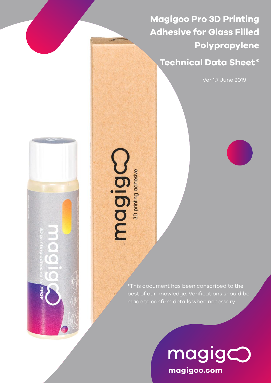**Magigoo Pro 3D Printing Adhesive for Glass Filled Polypropylene** 

**Technical Data Sheet\***

Ver 1.7 June 2019



magigne

\*This document has been conscribed to the best of our knowledge. Verifications should be made to confirm details when necessary.

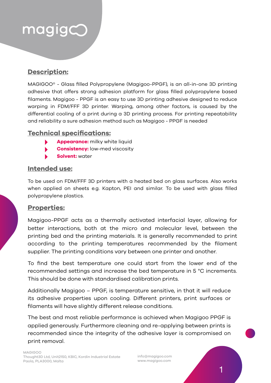## $mag$ ig $<$

## **Description:**

MAGIGOO® - Glass filled Polypropylene (Magigoo-PPGF), is an all-in-one 3D printing adhesive that offers strong adhesion platform for glass filled polypropylene based filaments. Magigoo - PPGF is an easy to use 3D printing adhesive designed to reduce warping in FDM/FFF 3D printer. Warping, among other factors, is caused by the differential cooling of a print during a 3D printing process. For printing repeatability and reliability a sure adhesion method such as Magigoo - PPGF is needed

#### **Technical specifications:**

- **Appearance:** milky white liquid
- **Consistency:** low-med viscosity
- **Solvent:** water

#### **Intended use:**

To be used on FDM/FFF 3D printers with a heated bed on glass surfaces. Also works when applied on sheets e.g. Kapton, PEI and similar. To be used with glass filled polypropylene plastics.

#### **Properties:**

Magigoo-PPGF acts as a thermally activated interfacial layer, allowing for better interactions, both at the micro and molecular level, between the printing bed and the printing materials. It is generally recommended to print according to the printing temperatures recommended by the filament supplier. The printing conditions vary between one printer and another.

To find the best temperature one could start from the lower end of the recommended settings and increase the bed temperature in 5 °C increments. This should be done with standardised calibration prints.

Additionally Magigoo – PPGF, is temperature sensitive, in that it will reduce its adhesive properties upon cooling. Different printers, print surfaces or filaments will have slightly different release conditions.

The best and most reliable performance is achieved when Magigoo PPGF is applied generously. Furthermore cleaning and re-applying between prints is recommended since the integrity of the adhesive layer is compromised on print removal.

info@magigoo.com www.magigoo.com

1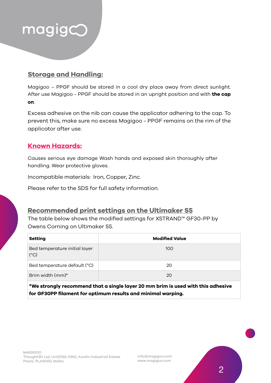

## **Storage and Handling:**

Magigoo – PPGF should be stored in a cool dry place away from direct sunlight. After use Magigoo - PPGF should be stored in an upright position and with **the cap on**.

Excess adhesive on the nib can cause the applicator adhering to the cap. To prevent this, make sure no excess Magigoo - PPGF remains on the rim of the applicator after use.

#### **Known Hazards:**

Causes serious eye damage Wash hands and exposed skin thoroughly after handling. Wear protective gloves.

Incompatible materials: Iron, Copper, Zinc.

Please refer to the SDS for full safety information.

### **Recommended print settings on the Ultimaker S5**

The table below shows the modified settings for XSTRAND™ GF30-PP by Owens Corning on Ultimaker S5.

| <b>Setting</b>                                 | <b>Modified Value</b> |
|------------------------------------------------|-----------------------|
| Bed temperature initial layer<br>$(^{\circ}C)$ | 100                   |
| Bed temperature default (°C)                   | 20                    |
| Brim width (mm)*                               | 20                    |

**\*We strongly recommend that a single layer 20 mm brim is used with this adhesive for GF30PP filament for optimum results and minimal warping.**

info@magigoo.com www.magigoo.com